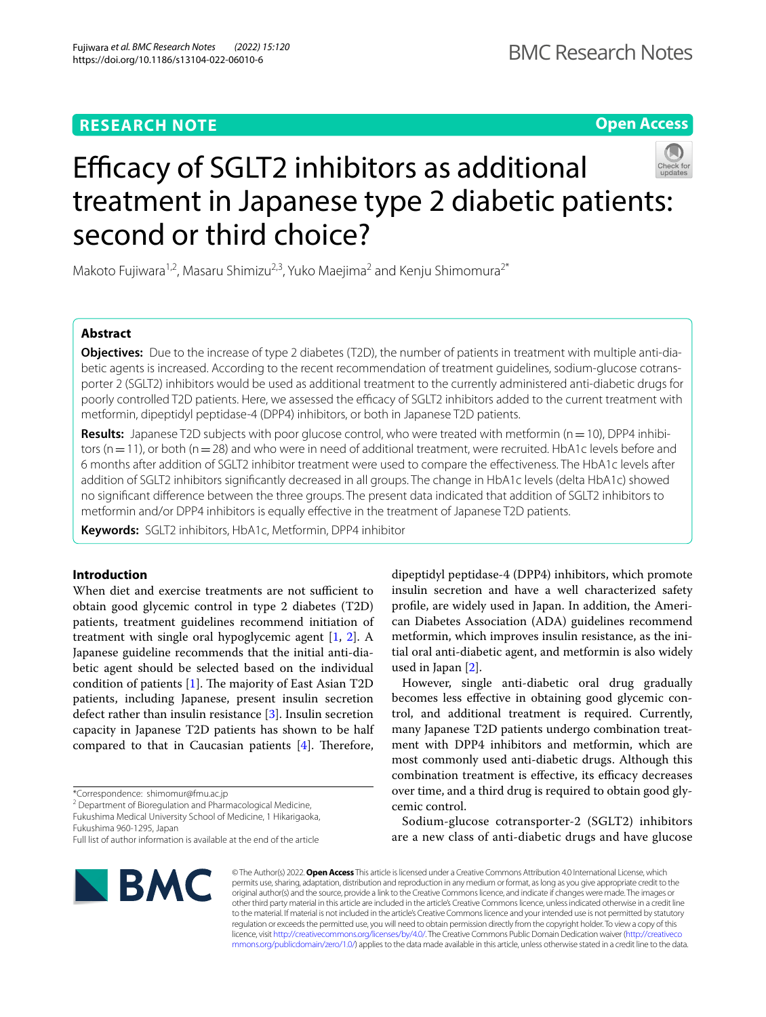# **RESEARCH NOTE**

**Open Access**

# Efficacy of SGLT2 inhibitors as additional treatment in Japanese type 2 diabetic patients: second or third choice?

Makoto Fujiwara<sup>1,2</sup>, Masaru Shimizu<sup>2,3</sup>, Yuko Maejima<sup>2</sup> and Kenju Shimomura<sup>2\*</sup>

# **Abstract**

**Objectives:** Due to the increase of type 2 diabetes (T2D), the number of patients in treatment with multiple anti-diabetic agents is increased. According to the recent recommendation of treatment guidelines, sodium-glucose cotransporter 2 (SGLT2) inhibitors would be used as additional treatment to the currently administered anti-diabetic drugs for poorly controlled T2D patients. Here, we assessed the efficacy of SGLT2 inhibitors added to the current treatment with metformin, dipeptidyl peptidase-4 (DPP4) inhibitors, or both in Japanese T2D patients.

Results: Japanese T2D subjects with poor glucose control, who were treated with metformin (n = 10), DPP4 inhibitors ( $n=11$ ), or both ( $n=28$ ) and who were in need of additional treatment, were recruited. HbA1c levels before and 6 months after addition of SGLT2 inhibitor treatment were used to compare the efectiveness. The HbA1c levels after addition of SGLT2 inhibitors signifcantly decreased in all groups. The change in HbA1c levels (delta HbA1c) showed no signifcant diference between the three groups. The present data indicated that addition of SGLT2 inhibitors to metformin and/or DPP4 inhibitors is equally efective in the treatment of Japanese T2D patients.

**Keywords:** SGLT2 inhibitors, HbA1c, Metformin, DPP4 inhibitor

# **Introduction**

When diet and exercise treatments are not sufficient to obtain good glycemic control in type 2 diabetes (T2D) patients, treatment guidelines recommend initiation of treatment with single oral hypoglycemic agent [[1,](#page-3-0) [2](#page-3-1)]. A Japanese guideline recommends that the initial anti-diabetic agent should be selected based on the individual condition of patients  $[1]$  $[1]$ . The majority of East Asian T2D patients, including Japanese, present insulin secretion defect rather than insulin resistance [\[3\]](#page-3-2). Insulin secretion capacity in Japanese T2D patients has shown to be half compared to that in Caucasian patients  $[4]$  $[4]$ . Therefore,

\*Correspondence: shimomur@fmu.ac.jp

<sup>2</sup> Department of Bioregulation and Pharmacological Medicine, Fukushima Medical University School of Medicine, 1 Hikarigaoka,

Fukushima 960-1295, Japan

dipeptidyl peptidase-4 (DPP4) inhibitors, which promote insulin secretion and have a well characterized safety profle, are widely used in Japan. In addition, the American Diabetes Association (ADA) guidelines recommend metformin, which improves insulin resistance, as the initial oral anti-diabetic agent, and metformin is also widely used in Japan [[2\]](#page-3-1).

However, single anti-diabetic oral drug gradually becomes less efective in obtaining good glycemic control, and additional treatment is required. Currently, many Japanese T2D patients undergo combination treatment with DPP4 inhibitors and metformin, which are most commonly used anti-diabetic drugs. Although this combination treatment is effective, its efficacy decreases over time, and a third drug is required to obtain good glycemic control.

Sodium-glucose cotransporter-2 (SGLT2) inhibitors are a new class of anti-diabetic drugs and have glucose



© The Author(s) 2022. **Open Access** This article is licensed under a Creative Commons Attribution 4.0 International License, which permits use, sharing, adaptation, distribution and reproduction in any medium or format, as long as you give appropriate credit to the original author(s) and the source, provide a link to the Creative Commons licence, and indicate if changes were made. The images or other third party material in this article are included in the article's Creative Commons licence, unless indicated otherwise in a credit line to the material. If material is not included in the article's Creative Commons licence and your intended use is not permitted by statutory regulation or exceeds the permitted use, you will need to obtain permission directly from the copyright holder. To view a copy of this licence, visit [http://creativecommons.org/licenses/by/4.0/.](http://creativecommons.org/licenses/by/4.0/) The Creative Commons Public Domain Dedication waiver ([http://creativeco](http://creativecommons.org/publicdomain/zero/1.0/) [mmons.org/publicdomain/zero/1.0/](http://creativecommons.org/publicdomain/zero/1.0/)) applies to the data made available in this article, unless otherwise stated in a credit line to the data.

Full list of author information is available at the end of the article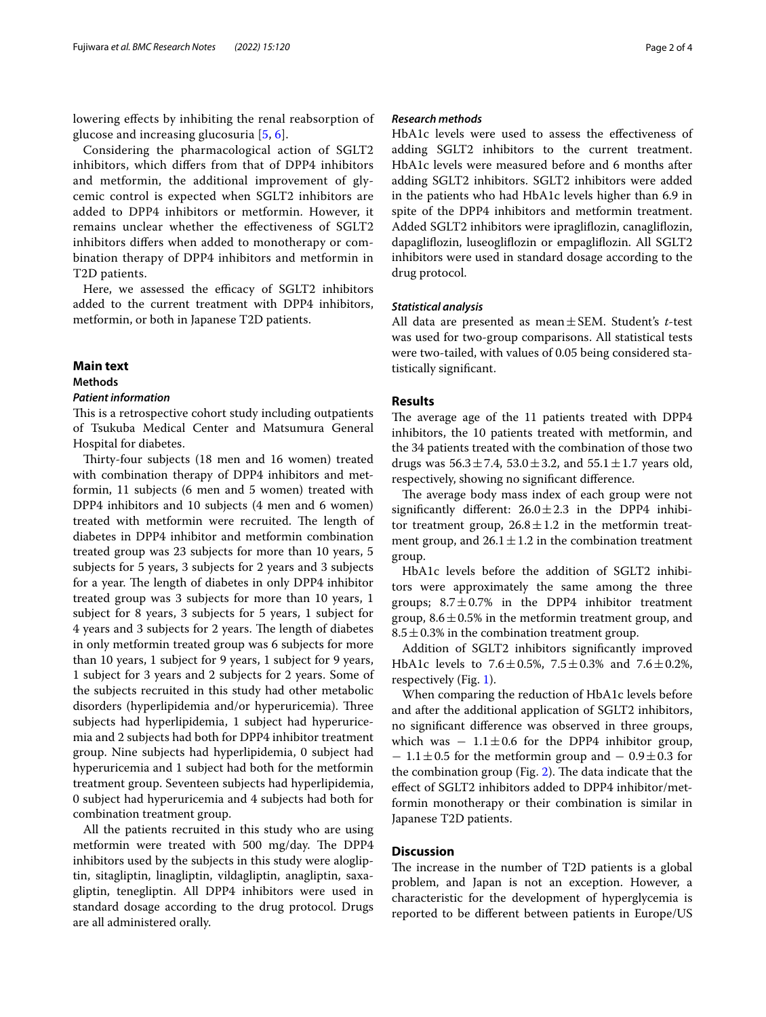lowering efects by inhibiting the renal reabsorption of glucose and increasing glucosuria [[5,](#page-3-4) [6\]](#page-3-5).

Considering the pharmacological action of SGLT2 inhibitors, which difers from that of DPP4 inhibitors and metformin, the additional improvement of glycemic control is expected when SGLT2 inhibitors are added to DPP4 inhibitors or metformin. However, it remains unclear whether the efectiveness of SGLT2 inhibitors difers when added to monotherapy or combination therapy of DPP4 inhibitors and metformin in T2D patients.

Here, we assessed the efficacy of SGLT2 inhibitors added to the current treatment with DPP4 inhibitors, metformin, or both in Japanese T2D patients.

## **Main text**

#### **Methods**

## *Patient information*

This is a retrospective cohort study including outpatients of Tsukuba Medical Center and Matsumura General Hospital for diabetes.

Thirty-four subjects (18 men and 16 women) treated with combination therapy of DPP4 inhibitors and metformin, 11 subjects (6 men and 5 women) treated with DPP4 inhibitors and 10 subjects (4 men and 6 women) treated with metformin were recruited. The length of diabetes in DPP4 inhibitor and metformin combination treated group was 23 subjects for more than 10 years, 5 subjects for 5 years, 3 subjects for 2 years and 3 subjects for a year. The length of diabetes in only DPP4 inhibitor treated group was 3 subjects for more than 10 years, 1 subject for 8 years, 3 subjects for 5 years, 1 subject for 4 years and 3 subjects for 2 years. The length of diabetes in only metformin treated group was 6 subjects for more than 10 years, 1 subject for 9 years, 1 subject for 9 years, 1 subject for 3 years and 2 subjects for 2 years. Some of the subjects recruited in this study had other metabolic disorders (hyperlipidemia and/or hyperuricemia). Three subjects had hyperlipidemia, 1 subject had hyperuricemia and 2 subjects had both for DPP4 inhibitor treatment group. Nine subjects had hyperlipidemia, 0 subject had hyperuricemia and 1 subject had both for the metformin treatment group. Seventeen subjects had hyperlipidemia, 0 subject had hyperuricemia and 4 subjects had both for combination treatment group.

All the patients recruited in this study who are using metformin were treated with 500 mg/day. The DPP4 inhibitors used by the subjects in this study were alogliptin, sitagliptin, linagliptin, vildagliptin, anagliptin, saxagliptin, tenegliptin. All DPP4 inhibitors were used in standard dosage according to the drug protocol. Drugs are all administered orally.

## *Research methods*

HbA1c levels were used to assess the efectiveness of adding SGLT2 inhibitors to the current treatment. HbA1c levels were measured before and 6 months after adding SGLT2 inhibitors. SGLT2 inhibitors were added in the patients who had HbA1c levels higher than 6.9 in spite of the DPP4 inhibitors and metformin treatment. Added SGLT2 inhibitors were ipraglifozin, canaglifozin, dapaglifozin, luseoglifozin or empaglifozin. All SGLT2 inhibitors were used in standard dosage according to the drug protocol.

## *Statistical analysis*

All data are presented as mean±SEM. Student's *t*-test was used for two-group comparisons. All statistical tests were two-tailed, with values of 0.05 being considered statistically signifcant.

#### **Results**

The average age of the 11 patients treated with DPP4 inhibitors, the 10 patients treated with metformin, and the 34 patients treated with the combination of those two drugs was  $56.3 \pm 7.4$ ,  $53.0 \pm 3.2$ , and  $55.1 \pm 1.7$  years old, respectively, showing no signifcant diference.

The average body mass index of each group were not significantly different:  $26.0 \pm 2.3$  in the DPP4 inhibitor treatment group,  $26.8 \pm 1.2$  in the metformin treatment group, and  $26.1 \pm 1.2$  in the combination treatment group.

HbA1c levels before the addition of SGLT2 inhibitors were approximately the same among the three groups;  $8.7 \pm 0.7$ % in the DPP4 inhibitor treatment group,  $8.6 \pm 0.5\%$  in the metformin treatment group, and  $8.5 \pm 0.3\%$  in the combination treatment group.

Addition of SGLT2 inhibitors signifcantly improved HbA1c levels to  $7.6 \pm 0.5$ %,  $7.5 \pm 0.3$ % and  $7.6 \pm 0.2$ %, respectively (Fig. [1\)](#page-2-0).

When comparing the reduction of HbA1c levels before and after the additional application of SGLT2 inhibitors, no signifcant diference was observed in three groups, which was  $-1.1 \pm 0.6$  for the DPP4 inhibitor group,  $-1.1 \pm 0.5$  for the metformin group and  $-0.9 \pm 0.3$  for the combination group (Fig. [2](#page-2-1)). The data indicate that the efect of SGLT2 inhibitors added to DPP4 inhibitor/metformin monotherapy or their combination is similar in Japanese T2D patients.

# **Discussion**

The increase in the number of T2D patients is a global problem, and Japan is not an exception. However, a characteristic for the development of hyperglycemia is reported to be diferent between patients in Europe/US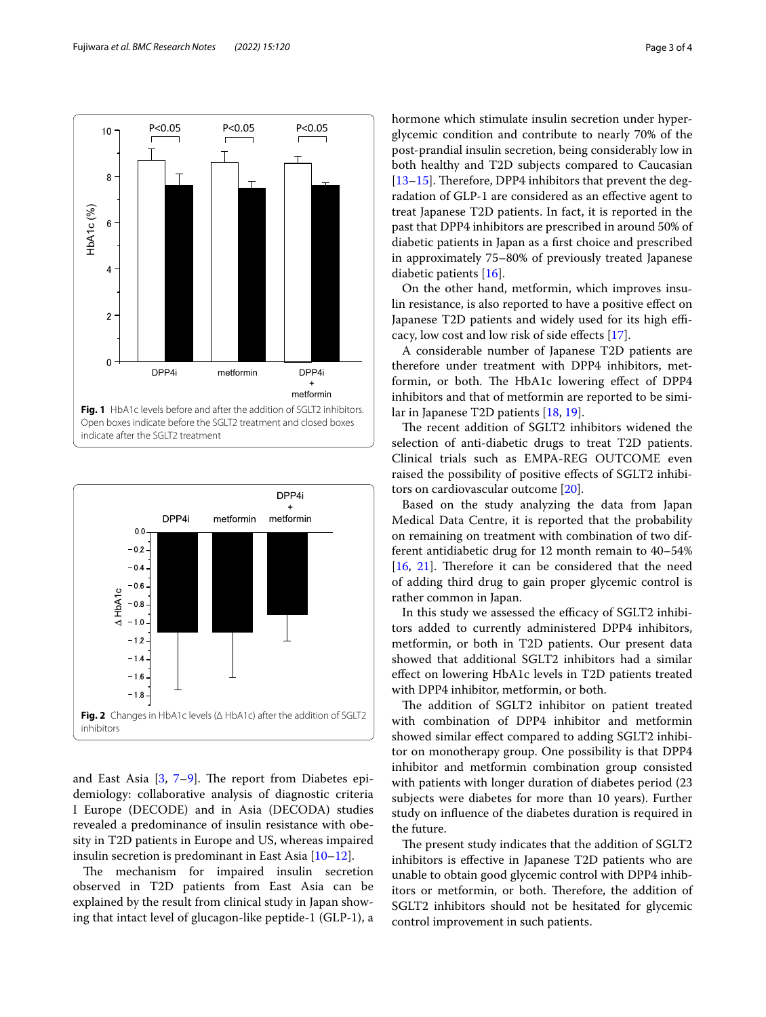

<span id="page-2-0"></span>

<span id="page-2-1"></span>and East Asia  $[3, 7-9]$  $[3, 7-9]$  $[3, 7-9]$ . The report from Diabetes epidemiology: collaborative analysis of diagnostic criteria I Europe (DECODE) and in Asia (DECODA) studies revealed a predominance of insulin resistance with obesity in T2D patients in Europe and US, whereas impaired insulin secretion is predominant in East Asia [[10–](#page-3-8)[12](#page-3-9)].

The mechanism for impaired insulin secretion observed in T2D patients from East Asia can be explained by the result from clinical study in Japan showing that intact level of glucagon-like peptide-1 (GLP-1), a hormone which stimulate insulin secretion under hyperglycemic condition and contribute to nearly 70% of the post-prandial insulin secretion, being considerably low in both healthy and T2D subjects compared to Caucasian [ $13-15$ ]. Therefore, DPP4 inhibitors that prevent the degradation of GLP-1 are considered as an efective agent to treat Japanese T2D patients. In fact, it is reported in the past that DPP4 inhibitors are prescribed in around 50% of diabetic patients in Japan as a frst choice and prescribed in approximately 75–80% of previously treated Japanese diabetic patients [[16](#page-3-12)].

On the other hand, metformin, which improves insulin resistance, is also reported to have a positive efect on Japanese T2D patients and widely used for its high efficacy, low cost and low risk of side efects [\[17](#page-3-13)].

A considerable number of Japanese T2D patients are therefore under treatment with DPP4 inhibitors, metformin, or both. The HbA1c lowering effect of DPP4 inhibitors and that of metformin are reported to be similar in Japanese T2D patients [\[18,](#page-3-14) [19](#page-3-15)].

The recent addition of SGLT2 inhibitors widened the selection of anti-diabetic drugs to treat T2D patients. Clinical trials such as EMPA-REG OUTCOME even raised the possibility of positive efects of SGLT2 inhibitors on cardiovascular outcome [[20\]](#page-3-16).

Based on the study analyzing the data from Japan Medical Data Centre, it is reported that the probability on remaining on treatment with combination of two different antidiabetic drug for 12 month remain to 40–54%  $[16, 21]$  $[16, 21]$  $[16, 21]$  $[16, 21]$  $[16, 21]$ . Therefore it can be considered that the need of adding third drug to gain proper glycemic control is rather common in Japan.

In this study we assessed the efficacy of SGLT2 inhibitors added to currently administered DPP4 inhibitors, metformin, or both in T2D patients. Our present data showed that additional SGLT2 inhibitors had a similar efect on lowering HbA1c levels in T2D patients treated with DPP4 inhibitor, metformin, or both.

The addition of SGLT2 inhibitor on patient treated with combination of DPP4 inhibitor and metformin showed similar efect compared to adding SGLT2 inhibitor on monotherapy group. One possibility is that DPP4 inhibitor and metformin combination group consisted with patients with longer duration of diabetes period (23 subjects were diabetes for more than 10 years). Further study on infuence of the diabetes duration is required in the future.

The present study indicates that the addition of SGLT2 inhibitors is efective in Japanese T2D patients who are unable to obtain good glycemic control with DPP4 inhibitors or metformin, or both. Therefore, the addition of SGLT2 inhibitors should not be hesitated for glycemic control improvement in such patients.